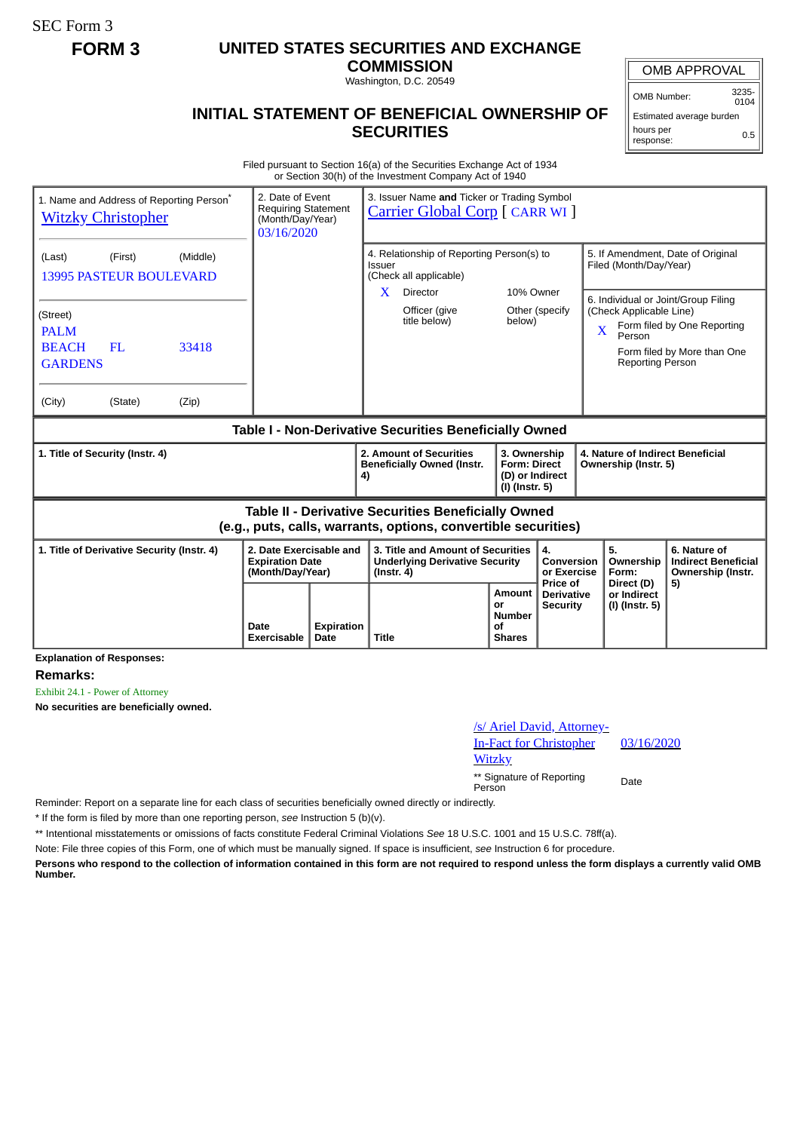SEC Form 3

# **FORM 3 UNITED STATES SECURITIES AND EXCHANGE**

**COMMISSION** Washington, D.C. 20549

OMB Number: 3235-  $0104$ 

Estimated average burden hours per response: 0.5

### **INITIAL STATEMENT OF BENEFICIAL OWNERSHIP OF SECURITIES**

Filed pursuant to Section 16(a) of the Securities Exchange Act of 1934 or Section 30(h) of the Investment Company Act of 1940

| 1. Name and Address of Reporting Person <sup>®</sup><br><b>Witzky Christopher</b>                                            |      | 2. Date of Event<br>3. Issuer Name and Ticker or Trading Symbol<br>Requiring Statement<br><b>Carrier Global Corp [ CARR WI ]</b><br>(Month/Day/Year)<br>03/16/2020 |                                                                                                                           |                                                                          |                                             |                                                             |                                                              |                                                                                                   |
|------------------------------------------------------------------------------------------------------------------------------|------|--------------------------------------------------------------------------------------------------------------------------------------------------------------------|---------------------------------------------------------------------------------------------------------------------------|--------------------------------------------------------------------------|---------------------------------------------|-------------------------------------------------------------|--------------------------------------------------------------|---------------------------------------------------------------------------------------------------|
| (Middle)<br>(First)<br>(Last)<br><b>13995 PASTEUR BOULEVARD</b>                                                              |      |                                                                                                                                                                    | 4. Relationship of Reporting Person(s) to<br><b>Issuer</b><br>(Check all applicable)<br>10% Owner<br><b>Director</b><br>X |                                                                          |                                             | 5. If Amendment, Date of Original<br>Filed (Month/Day/Year) |                                                              |                                                                                                   |
| (Street)<br><b>PALM</b><br><b>BEACH</b><br>33418<br>FL<br><b>GARDENS</b><br>(Zip)<br>(City)<br>(State)                       |      |                                                                                                                                                                    | Officer (give<br>title below)                                                                                             | below)                                                                   | Other (specify                              | X                                                           | (Check Applicable Line)<br>Person<br><b>Reporting Person</b> | 6. Individual or Joint/Group Filing<br>Form filed by One Reporting<br>Form filed by More than One |
| Table I - Non-Derivative Securities Beneficially Owned                                                                       |      |                                                                                                                                                                    |                                                                                                                           |                                                                          |                                             |                                                             |                                                              |                                                                                                   |
| 1. Title of Security (Instr. 4)                                                                                              |      |                                                                                                                                                                    | 2. Amount of Securities<br><b>Beneficially Owned (Instr.</b><br>4)                                                        | 3. Ownership<br><b>Form: Direct</b><br>(D) or Indirect<br>(I) (Instr. 5) |                                             | 4. Nature of Indirect Beneficial<br>Ownership (Instr. 5)    |                                                              |                                                                                                   |
| <b>Table II - Derivative Securities Beneficially Owned</b><br>(e.g., puts, calls, warrants, options, convertible securities) |      |                                                                                                                                                                    |                                                                                                                           |                                                                          |                                             |                                                             |                                                              |                                                                                                   |
| 1. Title of Derivative Security (Instr. 4)<br>2. Date Exercisable and<br><b>Expiration Date</b><br>(Month/Day/Year)          |      |                                                                                                                                                                    | 3. Title and Amount of Securities<br><b>Underlying Derivative Security</b><br>$($ lnstr. 4 $)$                            |                                                                          | 4.<br>Conversion<br>or Exercise<br>Price of |                                                             | 5.<br>Ownership<br>Form:                                     | 6. Nature of<br><b>Indirect Beneficial</b><br>Ownership (Instr.                                   |
|                                                                                                                              | Date | Expiration                                                                                                                                                         |                                                                                                                           | Amount<br>or<br><b>Number</b><br>Οf                                      | <b>Derivative</b><br><b>Security</b>        |                                                             | Direct (D)<br>or Indirect<br>(I) (Instr. 5)                  | 5)                                                                                                |

**Explanation of Responses:**

**Remarks:**

Exhibit 24.1 - Power of Attorney

**No securities are beneficially owned.**

## /s/ Ariel David, Attorney-In-Fact for Christopher **Witzky** \*\* Signature of Reporting Person Date

03/16/2020

Reminder: Report on a separate line for each class of securities beneficially owned directly or indirectly.

\* If the form is filed by more than one reporting person, *see* Instruction 5 (b)(v).

\*\* Intentional misstatements or omissions of facts constitute Federal Criminal Violations *See* 18 U.S.C. 1001 and 15 U.S.C. 78ff(a).

Note: File three copies of this Form, one of which must be manually signed. If space is insufficient, *see* Instruction 6 for procedure.

**Persons who respond to the collection of information contained in this form are not required to respond unless the form displays a currently valid OMB Number.**

OMB APPROVAL